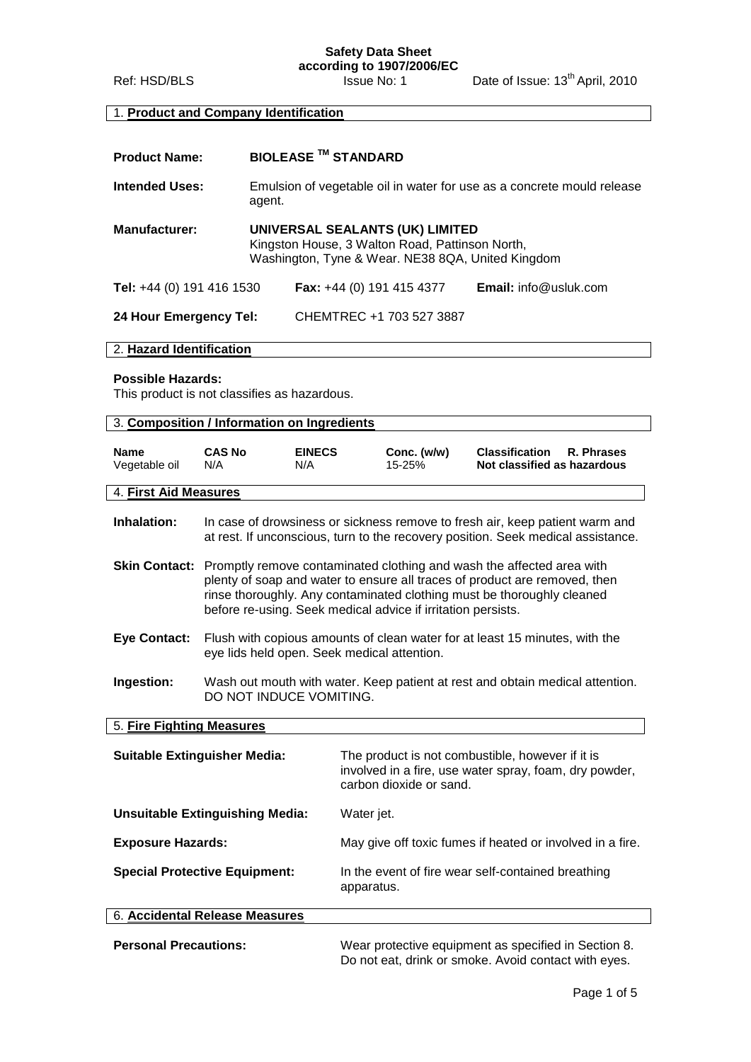# **Safety Data Sheet**

**according to 1907/2006/EC**

Ref: HSD/BLS **Issue No: 1** Date of Issue: 13<sup>th</sup> April, 2010

# 1. **Product and Company Identification**

| <b>Product Name:</b>      |                                                                                                                                         | <b>BIOLEASE ™ STANDARD</b> |                              |
|---------------------------|-----------------------------------------------------------------------------------------------------------------------------------------|----------------------------|------------------------------|
| <b>Intended Uses:</b>     | Emulsion of vegetable oil in water for use as a concrete mould release<br>agent.                                                        |                            |                              |
| <b>Manufacturer:</b>      | UNIVERSAL SEALANTS (UK) LIMITED<br>Kingston House, 3 Walton Road, Pattinson North,<br>Washington, Tyne & Wear. NE38 8QA, United Kingdom |                            |                              |
| Tel: +44 (0) 191 416 1530 |                                                                                                                                         | Fax: +44 (0) 191 415 4377  | <b>Email:</b> info@usluk.com |
| 24 Hour Emergency Tel:    |                                                                                                                                         | CHEMTREC +1 703 527 3887   |                              |

#### 2. **Hazard Identification**

#### **Possible Hazards:**

This product is not classifies as hazardous.

| 3. Composition / Information on Ingredients |                                                                                                                                                                                                                                                                                                             |                      |                                                                  |                                                                                                                                                                  |
|---------------------------------------------|-------------------------------------------------------------------------------------------------------------------------------------------------------------------------------------------------------------------------------------------------------------------------------------------------------------|----------------------|------------------------------------------------------------------|------------------------------------------------------------------------------------------------------------------------------------------------------------------|
| <b>Name</b><br>Vegetable oil                | <b>CAS No</b><br>N/A                                                                                                                                                                                                                                                                                        | <b>EINECS</b><br>N/A | Conc. (w/w)<br>15-25%                                            | <b>Classification</b><br>R. Phrases<br>Not classified as hazardous                                                                                               |
| 4. First Aid Measures                       |                                                                                                                                                                                                                                                                                                             |                      |                                                                  |                                                                                                                                                                  |
| <b>Inhalation:</b>                          |                                                                                                                                                                                                                                                                                                             |                      |                                                                  | In case of drowsiness or sickness remove to fresh air, keep patient warm and<br>at rest. If unconscious, turn to the recovery position. Seek medical assistance. |
|                                             | Skin Contact: Promptly remove contaminated clothing and wash the affected area with<br>plenty of soap and water to ensure all traces of product are removed, then<br>rinse thoroughly. Any contaminated clothing must be thoroughly cleaned<br>before re-using. Seek medical advice if irritation persists. |                      |                                                                  |                                                                                                                                                                  |
| <b>Eye Contact:</b>                         | Flush with copious amounts of clean water for at least 15 minutes, with the<br>eye lids held open. Seek medical attention.                                                                                                                                                                                  |                      |                                                                  |                                                                                                                                                                  |
| Ingestion:                                  | DO NOT INDUCE VOMITING.                                                                                                                                                                                                                                                                                     |                      |                                                                  | Wash out mouth with water. Keep patient at rest and obtain medical attention.                                                                                    |
| 5. Fire Fighting Measures                   |                                                                                                                                                                                                                                                                                                             |                      |                                                                  |                                                                                                                                                                  |
|                                             | <b>Suitable Extinguisher Media:</b>                                                                                                                                                                                                                                                                         |                      | carbon dioxide or sand.                                          | The product is not combustible, however if it is<br>involved in a fire, use water spray, foam, dry powder,                                                       |
| <b>Unsuitable Extinguishing Media:</b>      |                                                                                                                                                                                                                                                                                                             |                      | Water jet.                                                       |                                                                                                                                                                  |
| <b>Exposure Hazards:</b>                    |                                                                                                                                                                                                                                                                                                             |                      |                                                                  | May give off toxic fumes if heated or involved in a fire.                                                                                                        |
| <b>Special Protective Equipment:</b>        |                                                                                                                                                                                                                                                                                                             |                      | In the event of fire wear self-contained breathing<br>apparatus. |                                                                                                                                                                  |
| 6. Accidental Release Measures              |                                                                                                                                                                                                                                                                                                             |                      |                                                                  |                                                                                                                                                                  |
| <b>Personal Precautions:</b>                |                                                                                                                                                                                                                                                                                                             |                      |                                                                  | Wear protective equipment as specified in Section 8.<br>Do not eat, drink or smoke. Avoid contact with eyes.                                                     |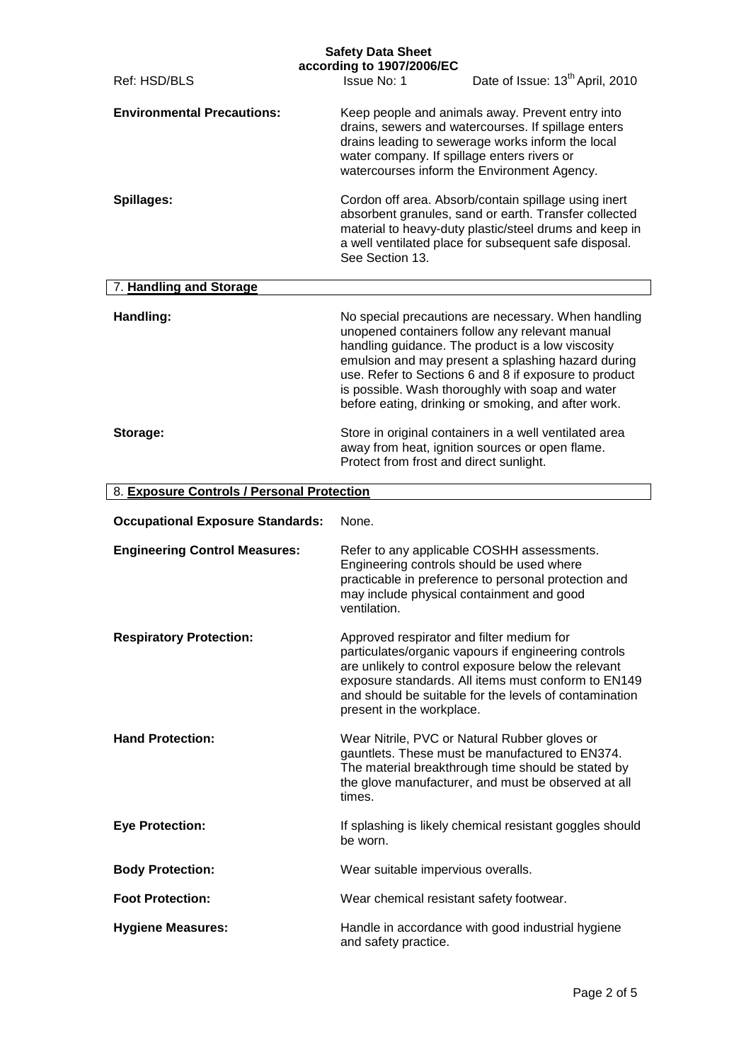| Ref: HSD/BLS                               | <b>Safety Data Sheet</b><br>according to 1907/2006/EC<br><b>Issue No: 1</b>                                                                                                                                                                                                                                                                                                          | Date of Issue: 13 <sup>th</sup> April, 2010 |
|--------------------------------------------|--------------------------------------------------------------------------------------------------------------------------------------------------------------------------------------------------------------------------------------------------------------------------------------------------------------------------------------------------------------------------------------|---------------------------------------------|
| <b>Environmental Precautions:</b>          | Keep people and animals away. Prevent entry into<br>drains, sewers and watercourses. If spillage enters<br>drains leading to sewerage works inform the local<br>water company. If spillage enters rivers or<br>watercourses inform the Environment Agency.                                                                                                                           |                                             |
| Spillages:                                 | Cordon off area. Absorb/contain spillage using inert<br>absorbent granules, sand or earth. Transfer collected<br>material to heavy-duty plastic/steel drums and keep in<br>a well ventilated place for subsequent safe disposal.<br>See Section 13.                                                                                                                                  |                                             |
| 7. Handling and Storage                    |                                                                                                                                                                                                                                                                                                                                                                                      |                                             |
| Handling:                                  | No special precautions are necessary. When handling<br>unopened containers follow any relevant manual<br>handling guidance. The product is a low viscosity<br>emulsion and may present a splashing hazard during<br>use. Refer to Sections 6 and 8 if exposure to product<br>is possible. Wash thoroughly with soap and water<br>before eating, drinking or smoking, and after work. |                                             |
| Storage:                                   | Store in original containers in a well ventilated area<br>away from heat, ignition sources or open flame.<br>Protect from frost and direct sunlight.                                                                                                                                                                                                                                 |                                             |
|                                            |                                                                                                                                                                                                                                                                                                                                                                                      |                                             |
| 8. Exposure Controls / Personal Protection |                                                                                                                                                                                                                                                                                                                                                                                      |                                             |
| <b>Occupational Exposure Standards:</b>    | None.                                                                                                                                                                                                                                                                                                                                                                                |                                             |
| <b>Engineering Control Measures:</b>       | Refer to any applicable COSHH assessments.<br>Engineering controls should be used where<br>practicable in preference to personal protection and<br>may include physical containment and good<br>ventilation.                                                                                                                                                                         |                                             |
| <b>Respiratory Protection:</b>             | Approved respirator and filter medium for<br>particulates/organic vapours if engineering controls<br>are unlikely to control exposure below the relevant<br>exposure standards. All items must conform to EN149<br>and should be suitable for the levels of contamination<br>present in the workplace.                                                                               |                                             |
| <b>Hand Protection:</b>                    | Wear Nitrile, PVC or Natural Rubber gloves or<br>gauntlets. These must be manufactured to EN374.<br>The material breakthrough time should be stated by<br>the glove manufacturer, and must be observed at all<br>times.                                                                                                                                                              |                                             |
| <b>Eye Protection:</b>                     | If splashing is likely chemical resistant goggles should<br>be worn.                                                                                                                                                                                                                                                                                                                 |                                             |
| <b>Body Protection:</b>                    | Wear suitable impervious overalls.                                                                                                                                                                                                                                                                                                                                                   |                                             |
| <b>Foot Protection:</b>                    | Wear chemical resistant safety footwear.                                                                                                                                                                                                                                                                                                                                             |                                             |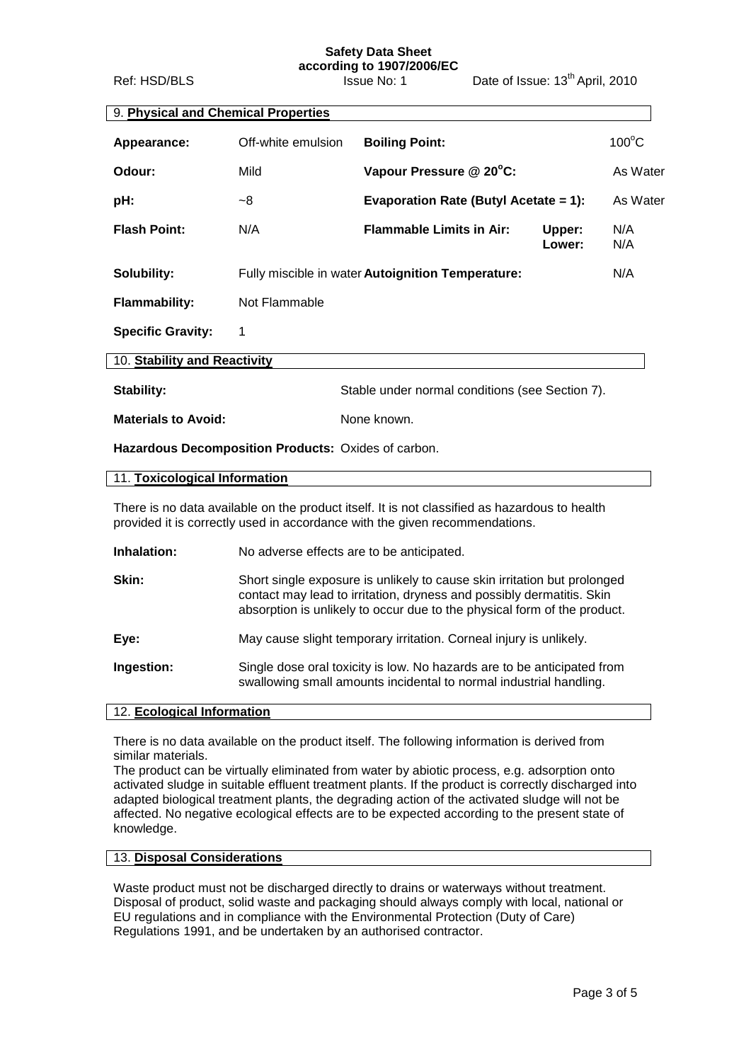#### **Safety Data Sheet according to 1907/2006/EC**

Ref: HSD/BLS Issue No: 1 Date of Issue: 13<sup>th</sup> April, 2010

| 9. Physical and Chemical Properties |                    |                                                   |                  |                 |
|-------------------------------------|--------------------|---------------------------------------------------|------------------|-----------------|
| Appearance:                         | Off-white emulsion | <b>Boiling Point:</b>                             |                  | $100^{\circ}$ C |
| Odour:                              | Mild               | Vapour Pressure @ 20°C:                           |                  | As Water        |
| pH:                                 | ~8                 | Evaporation Rate (Butyl Acetate = 1):             |                  | As Water        |
| <b>Flash Point:</b>                 | N/A                | <b>Flammable Limits in Air:</b>                   | Upper:<br>Lower: | N/A<br>N/A      |
| Solubility:                         |                    | Fully miscible in water Autoignition Temperature: |                  | N/A             |
| <b>Flammability:</b>                | Not Flammable      |                                                   |                  |                 |
| <b>Specific Gravity:</b>            | 1                  |                                                   |                  |                 |
| 10. Stability and Reactivity        |                    |                                                   |                  |                 |
| <b>Stability:</b>                   |                    | Stable under normal conditions (see Section 7).   |                  |                 |
| <b>Materials to Avoid:</b>          |                    | None known.                                       |                  |                 |

**Hazardous Decomposition Products:** Oxides of carbon.

| 11. Toxicological Information |
|-------------------------------|
|-------------------------------|

There is no data available on the product itself. It is not classified as hazardous to health provided it is correctly used in accordance with the given recommendations.

**Inhalation:** No adverse effects are to be anticipated.

| Skin:      | Short single exposure is unlikely to cause skin irritation but prolonged<br>contact may lead to irritation, dryness and possibly dermatitis. Skin<br>absorption is unlikely to occur due to the physical form of the product. |
|------------|-------------------------------------------------------------------------------------------------------------------------------------------------------------------------------------------------------------------------------|
| Eye:       | May cause slight temporary irritation. Corneal injury is unlikely.                                                                                                                                                            |
| Ingestion: | Single dose oral toxicity is low. No hazards are to be anticipated from<br>swallowing small amounts incidental to normal industrial handling.                                                                                 |

#### 12. **Ecological Information**

There is no data available on the product itself. The following information is derived from similar materials.

The product can be virtually eliminated from water by abiotic process, e.g. adsorption onto activated sludge in suitable effluent treatment plants. If the product is correctly discharged into adapted biological treatment plants, the degrading action of the activated sludge will not be affected. No negative ecological effects are to be expected according to the present state of knowledge.

## 13. **Disposal Considerations**

Waste product must not be discharged directly to drains or waterways without treatment. Disposal of product, solid waste and packaging should always comply with local, national or EU regulations and in compliance with the Environmental Protection (Duty of Care) Regulations 1991, and be undertaken by an authorised contractor.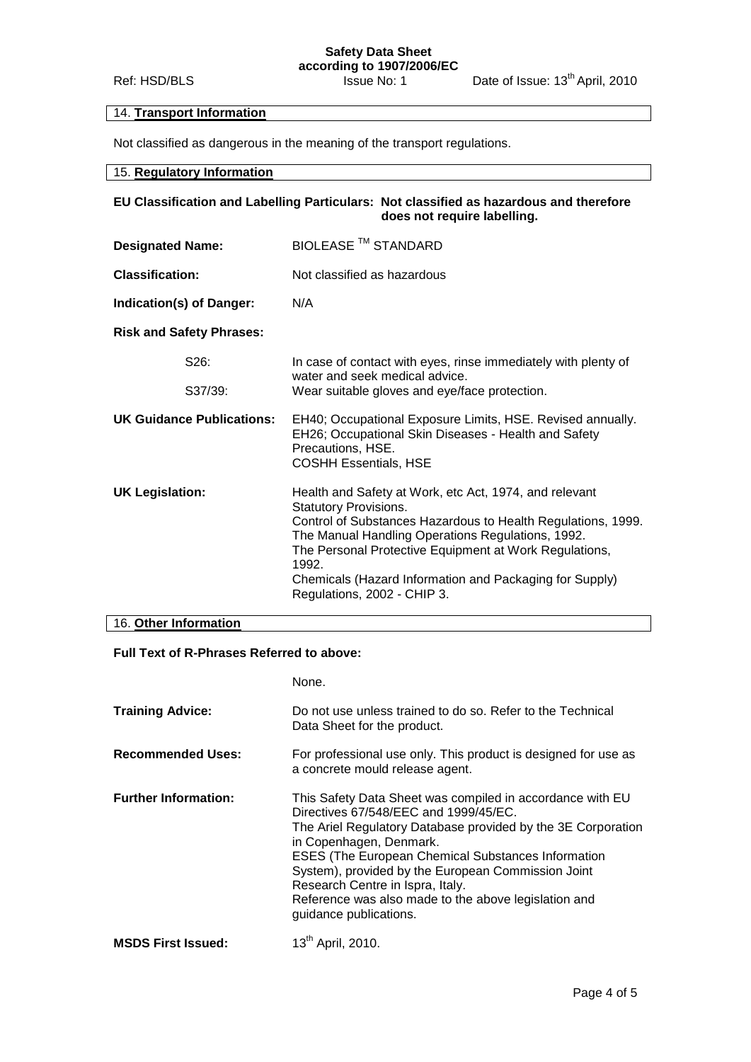# 14. **Transport Information**

Not classified as dangerous in the meaning of the transport regulations.

#### 15. **Regulatory Information**

## **EU Classification and Labelling Particulars: Not classified as hazardous and therefore does not require labelling.**

| <b>Designated Name:</b>          | BIOLEASE <sup>™</sup> STANDARD                                                                                                                                                                                                                                                                                                                                           |
|----------------------------------|--------------------------------------------------------------------------------------------------------------------------------------------------------------------------------------------------------------------------------------------------------------------------------------------------------------------------------------------------------------------------|
| <b>Classification:</b>           | Not classified as hazardous                                                                                                                                                                                                                                                                                                                                              |
| Indication(s) of Danger:         | N/A                                                                                                                                                                                                                                                                                                                                                                      |
| <b>Risk and Safety Phrases:</b>  |                                                                                                                                                                                                                                                                                                                                                                          |
| S <sub>26</sub> :                | In case of contact with eyes, rinse immediately with plenty of<br>water and seek medical advice.                                                                                                                                                                                                                                                                         |
| S37/39:                          | Wear suitable gloves and eye/face protection.                                                                                                                                                                                                                                                                                                                            |
| <b>UK Guidance Publications:</b> | EH40; Occupational Exposure Limits, HSE. Revised annually.<br>EH26; Occupational Skin Diseases - Health and Safety<br>Precautions, HSE.<br><b>COSHH Essentials, HSE</b>                                                                                                                                                                                                  |
| <b>UK Legislation:</b>           | Health and Safety at Work, etc Act, 1974, and relevant<br><b>Statutory Provisions.</b><br>Control of Substances Hazardous to Health Regulations, 1999.<br>The Manual Handling Operations Regulations, 1992.<br>The Personal Protective Equipment at Work Regulations,<br>1992.<br>Chemicals (Hazard Information and Packaging for Supply)<br>Regulations, 2002 - CHIP 3. |

### 16. **Other Information**

## **Full Text of R-Phrases Referred to above:**

|                             | None.                                                                                                                                                                                                                                                                                                                                                                                                                           |
|-----------------------------|---------------------------------------------------------------------------------------------------------------------------------------------------------------------------------------------------------------------------------------------------------------------------------------------------------------------------------------------------------------------------------------------------------------------------------|
| <b>Training Advice:</b>     | Do not use unless trained to do so. Refer to the Technical<br>Data Sheet for the product.                                                                                                                                                                                                                                                                                                                                       |
| <b>Recommended Uses:</b>    | For professional use only. This product is designed for use as<br>a concrete mould release agent.                                                                                                                                                                                                                                                                                                                               |
| <b>Further Information:</b> | This Safety Data Sheet was compiled in accordance with EU<br>Directives 67/548/EEC and 1999/45/EC.<br>The Ariel Regulatory Database provided by the 3E Corporation<br>in Copenhagen, Denmark.<br>ESES (The European Chemical Substances Information<br>System), provided by the European Commission Joint<br>Research Centre in Ispra, Italy.<br>Reference was also made to the above legislation and<br>guidance publications. |
| <b>MSDS First Issued:</b>   | 13 <sup>th</sup> April, 2010.                                                                                                                                                                                                                                                                                                                                                                                                   |